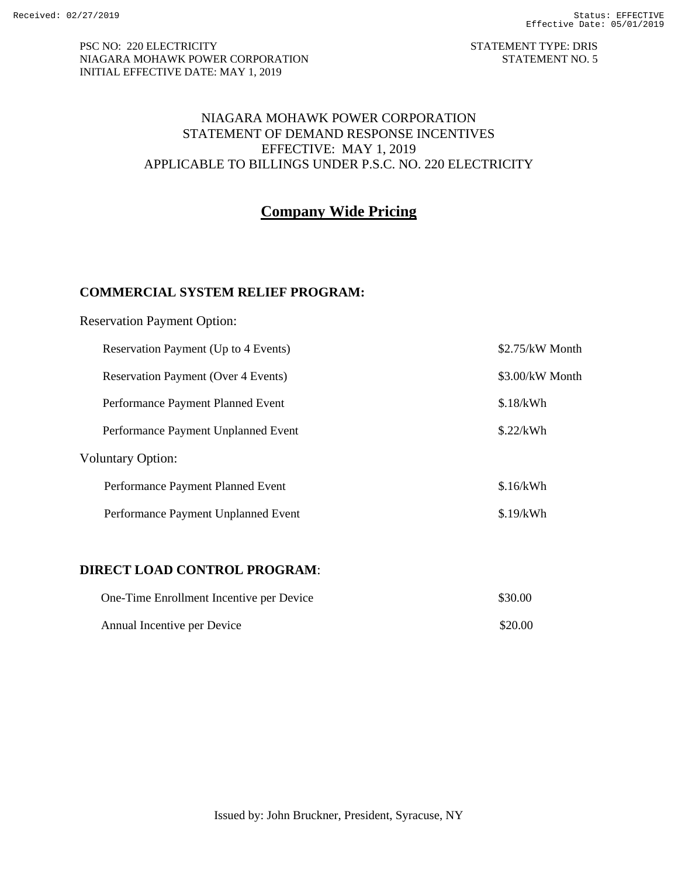#### PSC NO: 220 ELECTRICITY STATEMENT TYPE: DRIS NIAGARA MOHAWK POWER CORPORATION STATEMENT NO. 5 INITIAL EFFECTIVE DATE: MAY 1, 2019

#### NIAGARA MOHAWK POWER CORPORATION STATEMENT OF DEMAND RESPONSE INCENTIVES EFFECTIVE: MAY 1, 2019 APPLICABLE TO BILLINGS UNDER P.S.C. NO. 220 ELECTRICITY

# **Company Wide Pricing**

### **COMMERCIAL SYSTEM RELIEF PROGRAM:**

| <b>Reservation Payment Option:</b>         |                 |  |  |  |
|--------------------------------------------|-----------------|--|--|--|
| Reservation Payment (Up to 4 Events)       | \$2.75/kW Month |  |  |  |
| <b>Reservation Payment (Over 4 Events)</b> | \$3.00/kW Month |  |  |  |
| Performance Payment Planned Event          | \$.18/kWh       |  |  |  |
| Performance Payment Unplanned Event        | \$.22/kWh       |  |  |  |
| <b>Voluntary Option:</b>                   |                 |  |  |  |
| Performance Payment Planned Event          | \$.16/kWh       |  |  |  |
| Performance Payment Unplanned Event        | \$.19/kWh       |  |  |  |
|                                            |                 |  |  |  |
|                                            |                 |  |  |  |

## **DIRECT LOAD CONTROL PROGRAM**:

| One-Time Enrollment Incentive per Device | \$30.00 |
|------------------------------------------|---------|
| Annual Incentive per Device              | \$20.00 |